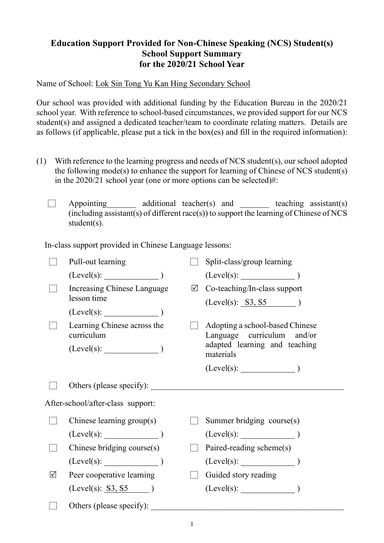## **Education Support Provided for Non-Chinese Speaking (NCS) Student(s) School Support Summary for the 2020/21 School Year**

Name of School: Lok Sin Tong Yu Kan Hing Secondary School

Our school was provided with additional funding by the Education Bureau in the 2020/21 school year. With reference to school-based circumstances, we provided support for our NCS student(s) and assigned a dedicated teacher/team to coordinate relating matters. Details are as follows (if applicable, please put a tick in the box(es) and fill in the required information):

- (1) With reference to the learning progress and needs of NCS student(s), our school adopted the following mode(s) to enhance the support for learning of Chinese of NCS student(s) in the 2020/21 school year (one or more options can be selected)#:
	- $\Box$  Appointing additional teacher(s) and teaching assistant(s) (including assistant(s) of different race(s)) to support the learning of Chinese of NCS student(s).

In-class support provided in Chinese Language lessons:

|   | Pull-out learning                         | Split-class/group learning                                    |
|---|-------------------------------------------|---------------------------------------------------------------|
|   | (Level(s):                                | $(Level(s):$ $)$                                              |
|   | Increasing Chinese Language               | $\boxtimes$ Co-teaching/In-class support                      |
|   | lesson time                               | $(Level(s): S3, S5)$ )                                        |
|   | $(Level(s):$ $)$                          |                                                               |
|   | Learning Chinese across the<br>curriculum | Adopting a school-based Chinese<br>Language curriculum and/or |
|   |                                           | adapted learning and teaching<br>materials                    |
|   |                                           |                                                               |
|   | Others (please specify):                  |                                                               |
|   | After-school/after-class support:         |                                                               |
|   | Chinese learning group(s)                 | Summer bridging course(s)                                     |
|   | (Level(s):                                | (Level(s):                                                    |
|   | Chinese bridging course(s)                | Paired-reading scheme(s)                                      |
|   | (Level(s):                                | (Level(s):                                                    |
| ☑ | Peer cooperative learning                 | Guided story reading                                          |
|   | (Level(s): 53, 55)                        | $(Level(s):$ (Level(s):                                       |
|   | Others (please specify):                  |                                                               |